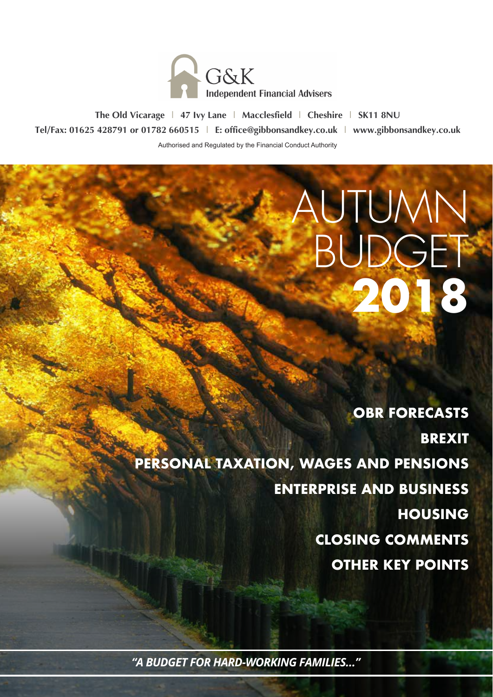

**The Old Vicarage | 47 Ivy Lane | Macclesfield | Cheshire | SK11 8NU Tel/Fax: 01625 428791 or 01782 660515 | E: office@gibbonsandkey.co.uk | www.gibbonsandkey.co.uk** Authorised and Regulated by the Financial Conduct Authority

> **OBR FORECASTS BREXIT PERSONAL TAXATION, WAGES AND PENSIONS ENTERPRISE AND BUSINESS HOUSING CLOSING COMMENTS OTHER KEY POINTS**

AUTUMN

**BUDGET** 

**2018**

*"A BUDGET FOR HARD-WORKING FAMILIES…"*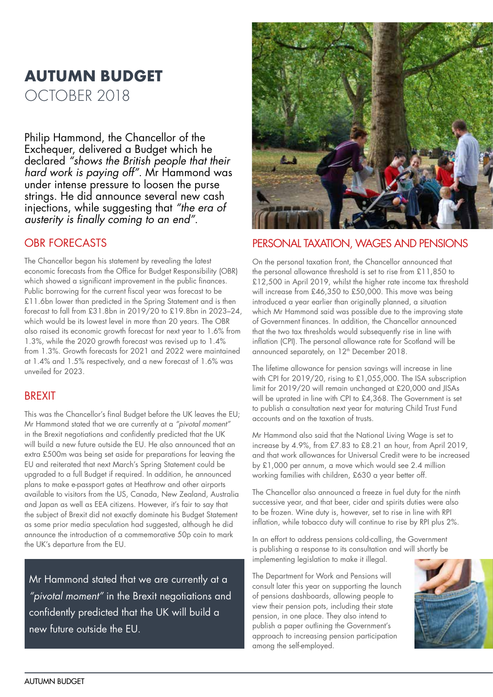# **AUTUMN BUDGET** OCTOBER 2018

Philip Hammond, the Chancellor of the Exchequer, delivered a Budget which he declared *"shows the British people that their hard work is paying off"*. Mr Hammond was under intense pressure to loosen the purse strings. He did announce several new cash injections, while suggesting that *"the era of austerity is finally coming to an end"*.

#### OBR FORECASTS

The Chancellor began his statement by revealing the latest economic forecasts from the Office for Budget Responsibility (OBR) which showed a significant improvement in the public finances. Public borrowing for the current fiscal year was forecast to be £11.6bn lower than predicted in the Spring Statement and is then forecast to fall from £31.8bn in 2019/20 to £19.8bn in 2023–24, which would be its lowest level in more than 20 years. The OBR also raised its economic growth forecast for next year to 1.6% from 1.3%, while the 2020 growth forecast was revised up to 1.4% from 1.3%. Growth forecasts for 2021 and 2022 were maintained at 1.4% and 1.5% respectively, and a new forecast of 1.6% was unveiled for 2023.

#### BREXIT

This was the Chancellor's final Budget before the UK leaves the EU; Mr Hammond stated that we are currently at a *"pivotal moment"* in the Brexit negotiations and confidently predicted that the UK will build a new future outside the EU. He also announced that an extra £500m was being set aside for preparations for leaving the EU and reiterated that next March's Spring Statement could be upgraded to a full Budget if required. In addition, he announced plans to make e-passport gates at Heathrow and other airports available to visitors from the US, Canada, New Zealand, Australia and Japan as well as EEA citizens. However, it's fair to say that the subject of Brexit did not exactly dominate his Budget Statement as some prior media speculation had suggested, although he did announce the introduction of a commemorative 50p coin to mark the UK's departure from the EU.

Mr Hammond stated that we are currently at a *"pivotal moment"* in the Brexit negotiations and confidently predicted that the UK will build a new future outside the EU.



#### PERSONAL TAXATION, WAGES AND PENSIONS

On the personal taxation front, the Chancellor announced that the personal allowance threshold is set to rise from £11,850 to £12,500 in April 2019, whilst the higher rate income tax threshold will increase from £46,350 to £50,000. This move was being introduced a year earlier than originally planned, a situation which Mr Hammond said was possible due to the improving state of Government finances. In addition, the Chancellor announced that the two tax thresholds would subsequently rise in line with inflation (CPI). The personal allowance rate for Scotland will be announced separately, on 12<sup>th</sup> December 2018.

The lifetime allowance for pension savings will increase in line with CPI for 2019/20, rising to £1,055,000. The ISA subscription limit for 2019/20 will remain unchanged at £20,000 and JISAs will be uprated in line with CPI to £4,368. The Government is set to publish a consultation next year for maturing Child Trust Fund accounts and on the taxation of trusts.

Mr Hammond also said that the National Living Wage is set to increase by 4.9%, from £7.83 to £8.21 an hour, from April 2019, and that work allowances for Universal Credit were to be increased by £1,000 per annum, a move which would see 2.4 million working families with children, £630 a year better off.

The Chancellor also announced a freeze in fuel duty for the ninth successive year, and that beer, cider and spirits duties were also to be frozen. Wine duty is, however, set to rise in line with RPI inflation, while tobacco duty will continue to rise by RPI plus 2%.

In an effort to address pensions cold-calling, the Government is publishing a response to its consultation and will shortly be implementing legislation to make it illegal.

The Department for Work and Pensions will consult later this year on supporting the launch of pensions dashboards, allowing people to view their pension pots, including their state pension, in one place. They also intend to publish a paper outlining the Government's approach to increasing pension participation among the self-employed.

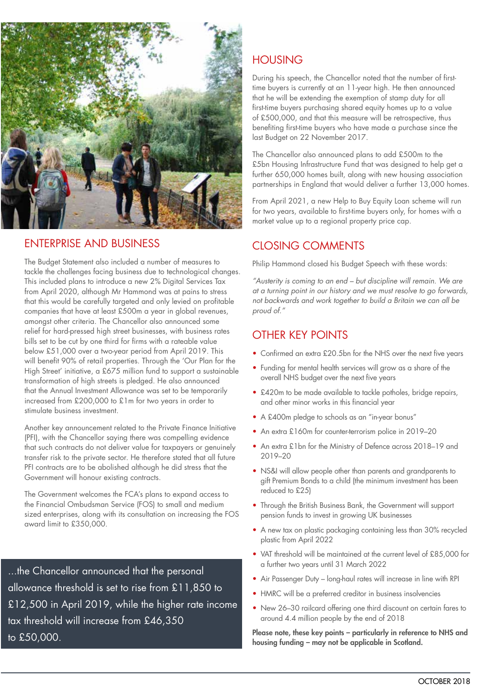

## ENTERPRISE AND BUSINESS

The Budget Statement also included a number of measures to tackle the challenges facing business due to technological changes. This included plans to introduce a new 2% Digital Services Tax from April 2020, although Mr Hammond was at pains to stress that this would be carefully targeted and only levied on profitable companies that have at least £500m a year in global revenues, amongst other criteria. The Chancellor also announced some relief for hard-pressed high street businesses, with business rates bills set to be cut by one third for firms with a rateable value below £51,000 over a two-year period from April 2019. This will benefit 90% of retail properties. Through the 'Our Plan for the High Street' initiative, a £675 million fund to support a sustainable transformation of high streets is pledged. He also announced that the Annual Investment Allowance was set to be temporarily increased from £200,000 to £1m for two years in order to stimulate business investment.

Another key announcement related to the Private Finance Initiative (PFI), with the Chancellor saying there was compelling evidence that such contracts do not deliver value for taxpayers or genuinely transfer risk to the private sector. He therefore stated that all future PFI contracts are to be abolished although he did stress that the Government will honour existing contracts.

The Government welcomes the FCA's plans to expand access to the Financial Ombudsman Service (FOS) to small and medium sized enterprises, along with its consultation on increasing the FOS award limit to £350,000.

...the Chancellor announced that the personal allowance threshold is set to rise from £11,850 to £12,500 in April 2019, while the higher rate income tax threshold will increase from £46,350 to £50,000.

# **HOUSING**

During his speech, the Chancellor noted that the number of firsttime buyers is currently at an 11-year high. He then announced that he will be extending the exemption of stamp duty for all first-time buyers purchasing shared equity homes up to a value of £500,000, and that this measure will be retrospective, thus benefiting first-time buyers who have made a purchase since the last Budget on 22 November 2017.

The Chancellor also announced plans to add £500m to the £5bn Housing Infrastructure Fund that was designed to help get a further 650,000 homes built, along with new housing association partnerships in England that would deliver a further 13,000 homes.

From April 2021, a new Help to Buy Equity Loan scheme will run for two years, available to first-time buyers only, for homes with a market value up to a regional property price cap.

#### CLOSING COMMENTS

Philip Hammond closed his Budget Speech with these words:

*"Austerity is coming to an end – but discipline will remain. We are at a turning point in our history and we must resolve to go forwards, not backwards and work together to build a Britain we can all be proud of."*

### OTHER KEY POINTS

- Confirmed an extra £20.5bn for the NHS over the next five years
- Funding for mental health services will grow as a share of the overall NHS budget over the next five years
- £420m to be made available to tackle potholes, bridge repairs, and other minor works in this financial year
- A £400m pledge to schools as an "in-year bonus"
- An extra £160m for counter-terrorism police in 2019–20
- An extra £1bn for the Ministry of Defence across 2018–19 and 2019–20
- NS&I will allow people other than parents and grandparents to gift Premium Bonds to a child (the minimum investment has been reduced to £25)
- Through the British Business Bank, the Government will support pension funds to invest in growing UK businesses
- A new tax on plastic packaging containing less than 30% recycled plastic from April 2022
- VAT threshold will be maintained at the current level of £85,000 for a further two years until 31 March 2022
- Air Passenger Duty long-haul rates will increase in line with RPI
- HMRC will be a preferred creditor in business insolvencies
- New 26–30 railcard offering one third discount on certain fares to around 4.4 million people by the end of 2018

Please note, these key points - particularly in reference to NHS and housing funding – may not be applicable in Scotland.